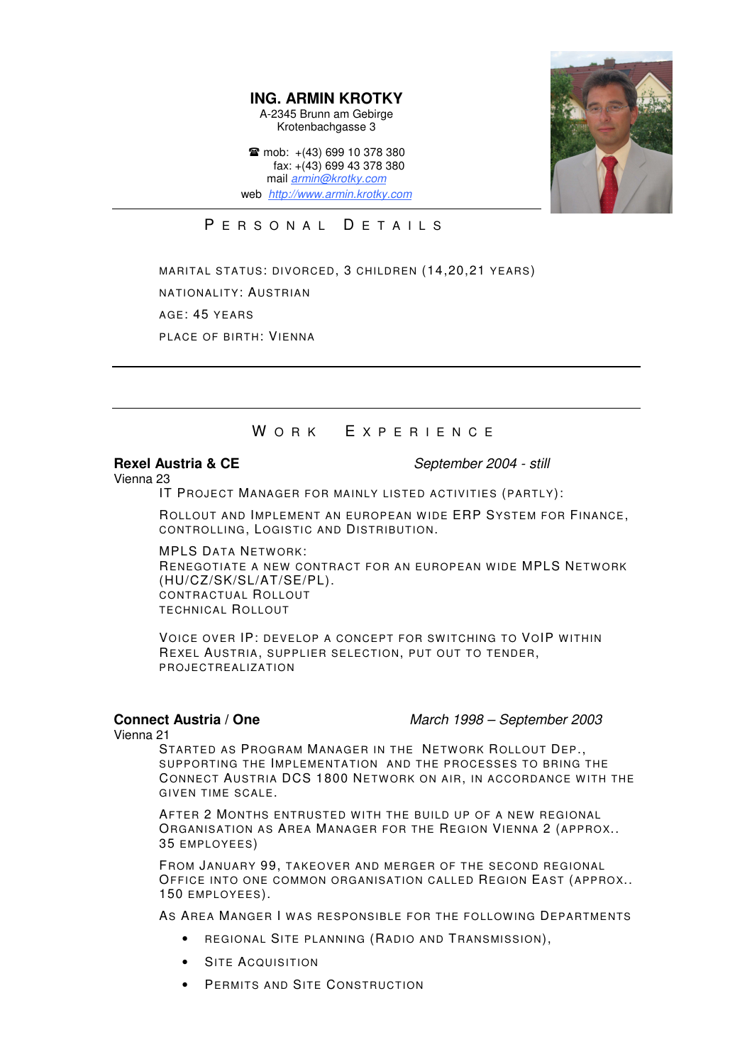**ING. ARMIN KROTKY** A-2345 Brunn am Gebirge Krotenbachgasse 3

 $\text{m}$  mob: +(43) 699 10 378 380 fax: +(43) 699 43 378 380 mail *armin@krotky.com* web *http://www.armin.krotky.com*



### PERSONAL DETAILS

MARITAL STATUS: DIVORCED, 3 CHILDREN (14,20,21 YEARS) NATIONALITY: AUSTRIAN AGE: 45 YEARS PLACE OF BIRTH: VIENNA

## WORK EXPERIENCE

**Rexel Austria & CE** *September 2004 - still*

Vienna 23

IT PROJECT MANAGER FOR MAINLY LISTED ACTIVITIES (PARTLY):

ROLLOUT AND IMPLEMENT AN EUROPEAN WIDE ERP SYSTEM FOR FINANCE, CONTROLLING, LOGISTIC AND DISTRIBUTION.

**MPLS DATA NETWORK:** RENEGOTIATE A NEW CONTRACT FOR AN EUROPEAN WIDE MPLS NETWORK (HU/CZ/SK/SL/AT/SE/PL). CONTRACTUAL ROLLOUT TECHNICAL ROLLOUT

VOICE OVER IP: DEVELOP A CONCEPT FOR SWITCHING TO VOIP WITHIN REXEL AUSTRIA, SUPPLIER SELECTION, PUT OUT TO TENDER, PROJECTREALIZATION

**Connect Austria / One** *March 1998 – September 2003*

Vienna 21

STARTED AS PROGRAM MANAGER IN THE NETWORK ROLLOUT DEP. SUPPORTING THE IMPLEMENTATION AND THE PROCESSES TO BRING THE CONNECT AUSTRIA DCS 1800 NETWORK ON AIR, IN ACCORDANCE WITH THE GIVEN TIME SCALE.

AFTER 2 MONTHS ENTRUSTED WITH THE BUILD UP OF A NEW REGIONAL ORGANISATION AS AREA MANAGER FOR THE REGION VIENNA 2 (APPROX.. 35 EMPLOYEES)

FROM JANUARY 99, TAKEOVER AND MERGER OF THE SECOND REGIONAL OFFICE INTO ONE COMMON ORGANISATION CALLED REGION EAST (APPROX.. 150 EMPLOYEES).

AS AREA MANGER I WAS RESPONSIBLE FOR THE FOLLOWING DEPARTMENTS

- REGIONAL SITE PLANNING (RADIO AND TRANSMISSION),
- SITE ACQUISITION
- PERMITS AND SITE CONSTRUCTION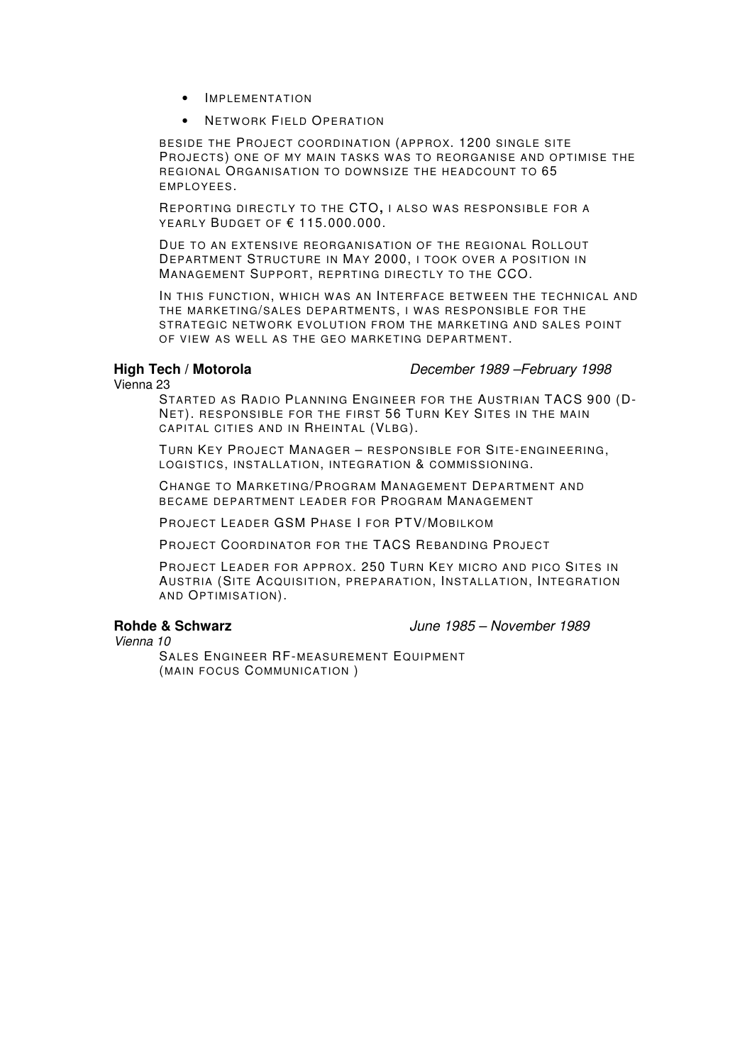- IMPLEMENTATION
- **NETWORK FIELD OPERATION**

BESIDE THE PROJECT COORDINATION (APPROX. 1200 SINGLE SITE PROJECTS) ONE OF MY MAIN TASKS WAS TO REORGANISE AND OPTIMISE THE REGIONAL ORGANISATION TO DOWNSIZE THE HEADCOUNT TO 65 EMPLOYEES.

REPORTING DIRECTLY TO THE CTO, I ALSO WAS RESPONSIBLE FOR A YEARLY BUDGET OF € 115.000.000.

DUE TO AN EXTENSIVE REORGANISATION OF THE REGIONAL ROLLOUT DEPARTMENT STRUCTURE IN MAY 2000, I TOOK OVER A POSITION IN MANAGEMENT SUPPORT, REPRTING DIRECTLY TO THE CCO.

IN THIS FUNCTION, WHICH WAS AN INTERFACE BETWEEN THE TECHNICAL AND THE MARKETING/SALES DEPARTMENTS, I WAS RESPONSIBLE FOR THE STRATEGIC NETWORK EVOLUTION FROM THE MARKETING AND SALES POINT OF VIEW AS WELL AS THE GEO MARKETING DEPARTMENT.

**High Tech / Motorola** *December 1989 –February 1998*

Vienna 23

STARTED AS RADIO PLANNING ENGINEER FOR THE AUSTRIAN TACS 900 (D-NET). RESPONSIBLE FOR THE FIRST 56 TURN KEY SITES IN THE MAIN CAPITAL CITIES AND IN RHEINTAL (VLBG).

TURN KEY PROJECT MANAGER – RESPONSIBLE FOR SITE-ENGINEERING, LOGISTICS, INSTALLATION, INTEGRATION & COMMISSIONING.

CHANGE TO MARKETING/PROGRAM MANAGEMENT DEPARTMENT AND BECAME DEPARTMENT LEADER FOR PROGRAM MANAGEMENT

PROJECT LEADER GSM PHASE I FOR PTV/MOBILKOM

PROJECT COORDINATOR FOR THE TACS REBANDING PROJECT

PROJECT LEADER FOR APPROX. 250 TURN KEY MICRO AND PICO SITES IN AUSTRIA (SITE ACQUISITION, PREPARATION, INSTALLATION, INTEGRATION AND OPTIMISATION).

**Rohde & Schwarz** *June 1985 – November 1989*

*Vienna 10*

SALES ENGINEER RF-MEASUREMENT EQUIPMENT (MAIN FOCUS COMMUNICATION )